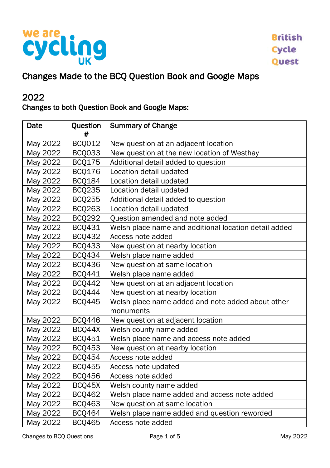

## Changes Made to the BCQ Question Book and Google Maps

### 2022

#### Changes to both Question Book and Google Maps:

| Date     | Question<br># | <b>Summary of Change</b>                              |
|----------|---------------|-------------------------------------------------------|
| May 2022 | <b>BCQ012</b> | New question at an adjacent location                  |
| May 2022 | BCQ033        | New question at the new location of Westhay           |
| May 2022 | <b>BCQ175</b> | Additional detail added to question                   |
| May 2022 | <b>BCQ176</b> | Location detail updated                               |
| May 2022 | <b>BCQ184</b> | Location detail updated                               |
| May 2022 | <b>BCQ235</b> | Location detail updated                               |
| May 2022 | <b>BCQ255</b> | Additional detail added to question                   |
| May 2022 | <b>BCQ263</b> | Location detail updated                               |
| May 2022 | <b>BCQ292</b> | Question amended and note added                       |
| May 2022 | BCQ431        | Welsh place name and additional location detail added |
| May 2022 | <b>BCQ432</b> | Access note added                                     |
| May 2022 | <b>BCQ433</b> | New question at nearby location                       |
| May 2022 | BCQ434        | Welsh place name added                                |
| May 2022 | <b>BCO436</b> | New question at same location                         |
| May 2022 | <b>BCQ441</b> | Welsh place name added                                |
| May 2022 | <b>BCQ442</b> | New question at an adjacent location                  |
| May 2022 | BCQ444        | New question at nearby location                       |
| May 2022 | <b>BCQ445</b> | Welsh place name added and note added about other     |
|          |               | monuments                                             |
| May 2022 | <b>BCQ446</b> | New question at adjacent location                     |
| May 2022 | BCQ44X        | Welsh county name added                               |
| May 2022 | BCQ451        | Welsh place name and access note added                |
| May 2022 | <b>BCQ453</b> | New question at nearby location                       |
| May 2022 | <b>BCQ454</b> | Access note added                                     |
| May 2022 | <b>BCQ455</b> | Access note updated                                   |
| May 2022 | <b>BCQ456</b> | Access note added                                     |
| May 2022 | BCQ45X        | Welsh county name added                               |
| May 2022 | <b>BCQ462</b> | Welsh place name added and access note added          |
| May 2022 | <b>BCQ463</b> | New question at same location                         |
| May 2022 | BCQ464        | Welsh place name added and question reworded          |
| May 2022 | <b>BCQ465</b> | Access note added                                     |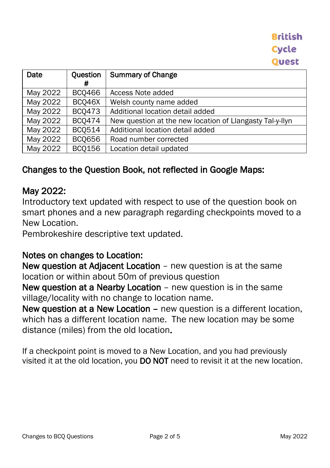| Date     | Question      | <b>Summary of Change</b>                                 |
|----------|---------------|----------------------------------------------------------|
|          | #             |                                                          |
| May 2022 | <b>BCO466</b> | Access Note added                                        |
| May 2022 | BCQ46X        | Welsh county name added                                  |
| May 2022 | <b>BCQ473</b> | Additional location detail added                         |
| May 2022 | <b>BCO474</b> | New question at the new location of Llangasty Tal-y-llyn |
| May 2022 | <b>BCQ514</b> | Additional location detail added                         |
| May 2022 | <b>BCQ656</b> | Road number corrected                                    |
| May 2022 | <b>BCQ156</b> | Location detail updated                                  |

### Changes to the Question Book, not reflected in Google Maps:

### May 2022:

Introductory text updated with respect to use of the question book on smart phones and a new paragraph regarding checkpoints moved to a New Location.

Pembrokeshire descriptive text updated.

#### Notes on changes to Location:

New question at Adjacent Location – new question is at the same location or within about 50m of previous question

New question at a Nearby Location – new question is in the same village/locality with no change to location name.

New question at a New Location – new question is a different location, which has a different location name. The new location may be some distance (miles) from the old location.

If a checkpoint point is moved to a New Location, and you had previously visited it at the old location, you DO NOT need to revisit it at the new location.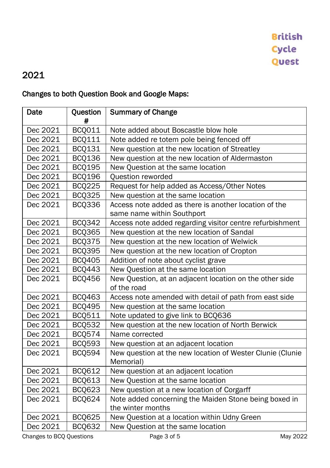## 2021

### Changes to both Question Book and Google Maps:

| Date     | Question<br># | <b>Summary of Change</b>                                  |
|----------|---------------|-----------------------------------------------------------|
| Dec 2021 | <b>BCQ011</b> | Note added about Boscastle blow hole                      |
| Dec 2021 | <b>BCQ111</b> | Note added re totem pole being fenced off                 |
| Dec 2021 | <b>BCQ131</b> | New question at the new location of Streatley             |
| Dec 2021 | <b>BCQ136</b> | New question at the new location of Aldermaston           |
| Dec 2021 | <b>BCQ195</b> | New Question at the same location                         |
| Dec 2021 | <b>BCQ196</b> | Question reworded                                         |
| Dec 2021 | <b>BCQ225</b> | Request for help added as Access/Other Notes              |
| Dec 2021 | <b>BCQ325</b> | New question at the same location                         |
| Dec 2021 | <b>BCQ336</b> | Access note added as there is another location of the     |
|          |               | same name within Southport                                |
| Dec 2021 | <b>BCQ342</b> | Access note added regarding visitor centre refurbishment  |
| Dec 2021 | <b>BCQ365</b> | New question at the new location of Sandal                |
| Dec 2021 | <b>BCQ375</b> | New question at the new location of Welwick               |
| Dec 2021 | <b>BCQ395</b> | New question at the new location of Cropton               |
| Dec 2021 | <b>BCQ405</b> | Addition of note about cyclist grave                      |
| Dec 2021 | <b>BCQ443</b> | New Question at the same location                         |
| Dec 2021 | <b>BCQ456</b> | New Question, at an adjacent location on the other side   |
|          |               | of the road                                               |
| Dec 2021 | BCQ463        | Access note amended with detail of path from east side    |
| Dec 2021 | <b>BCQ495</b> | New question at the same location                         |
| Dec 2021 | <b>BCQ511</b> | Note updated to give link to BCQ636                       |
| Dec 2021 | <b>BCQ532</b> | New question at the new location of North Berwick         |
| Dec 2021 | <b>BCQ574</b> | Name corrected                                            |
| Dec 2021 | <b>BCQ593</b> | New question at an adjacent location                      |
| Dec 2021 | <b>BCQ594</b> | New question at the new location of Wester Clunie (Clunie |
|          |               | Memorial)                                                 |
| Dec 2021 | <b>BCQ612</b> | New question at an adjacent location                      |
| Dec 2021 | <b>BCQ613</b> | New Question at the same location                         |
| Dec 2021 | <b>BCQ623</b> | New question at a new location of Corgarff                |
| Dec 2021 | <b>BCQ624</b> | Note added concerning the Maiden Stone being boxed in     |
|          |               | the winter months                                         |
| Dec 2021 | <b>BCQ625</b> | New Question at a location within Udny Green              |
| Dec 2021 | <b>BCQ632</b> | New Question at the same location                         |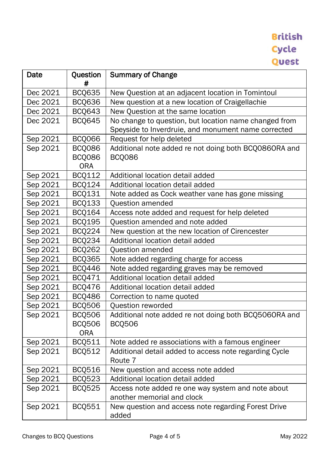# **British Cycle Quest**

| Date     | Question<br># | <b>Summary of Change</b>                                     |
|----------|---------------|--------------------------------------------------------------|
| Dec 2021 | <b>BCQ635</b> | New Question at an adjacent location in Tomintoul            |
| Dec 2021 | <b>BCQ636</b> | New question at a new location of Craigellachie              |
| Dec 2021 | <b>BCQ643</b> | New Question at the same location                            |
| Dec 2021 | <b>BCQ645</b> | No change to question, but location name changed from        |
|          |               | Speyside to Inverdruie, and monument name corrected          |
| Sep 2021 | <b>BCQ066</b> | Request for help deleted                                     |
| Sep 2021 | <b>BCQ086</b> | Additional note added re not doing both BCQ0860RA and        |
|          | <b>BCQ086</b> | <b>BCQ086</b>                                                |
|          | <b>ORA</b>    |                                                              |
| Sep 2021 | <b>BCQ112</b> | Additional location detail added                             |
| Sep 2021 | BCQ124        | Additional location detail added                             |
| Sep 2021 | BCQ131        | Note added as Cock weather vane has gone missing             |
| Sep 2021 | <b>BCQ133</b> | Question amended                                             |
| Sep 2021 | <b>BCQ164</b> | Access note added and request for help deleted               |
| Sep 2021 | <b>BCQ195</b> | Question amended and note added                              |
| Sep 2021 | <b>BCQ224</b> | New question at the new location of Cirencester              |
| Sep 2021 | <b>BCQ234</b> | Additional location detail added                             |
| Sep 2021 | <b>BCQ262</b> | Question amended                                             |
| Sep 2021 | <b>BCQ365</b> | Note added regarding charge for access                       |
| Sep 2021 | <b>BCQ446</b> | Note added regarding graves may be removed                   |
| Sep 2021 | BCQ471        | Additional location detail added                             |
| Sep 2021 | <b>BCQ476</b> | Additional location detail added                             |
| Sep 2021 | <b>BCQ486</b> | Correction to name quoted                                    |
| Sep 2021 | <b>BCQ506</b> | Question reworded                                            |
| Sep 2021 | <b>BCQ506</b> | Additional note added re not doing both BCQ5060RA and        |
|          | <b>BCQ506</b> | <b>BCQ506</b>                                                |
|          | <b>ORA</b>    |                                                              |
| Sep 2021 | <b>BCQ511</b> | Note added re associations with a famous engineer            |
| Sep 2021 | <b>BCQ512</b> | Additional detail added to access note regarding Cycle       |
|          |               | Route 7                                                      |
| Sep 2021 | <b>BCQ516</b> | New question and access note added                           |
| Sep 2021 | <b>BCQ523</b> | Additional location detail added                             |
| Sep 2021 | <b>BCQ525</b> | Access note added re one way system and note about           |
|          |               | another memorial and clock                                   |
| Sep 2021 | <b>BCQ551</b> | New question and access note regarding Forest Drive<br>added |